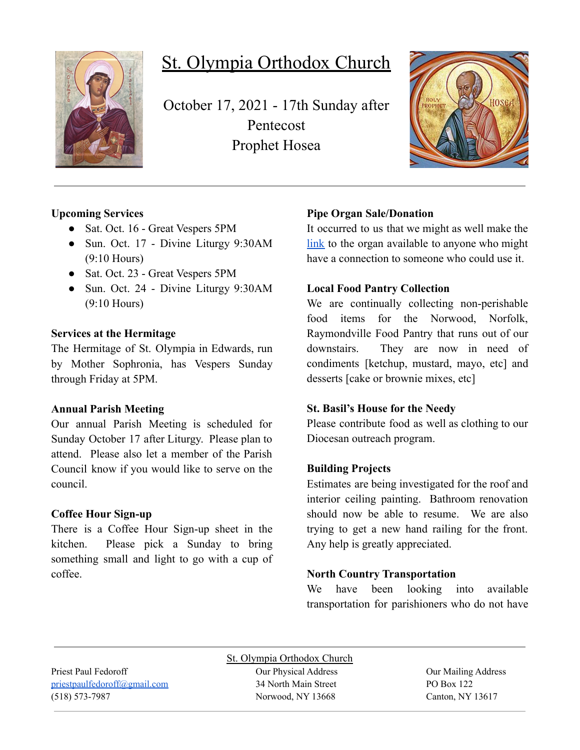

# St. Olympia Orthodox Church

October 17, 2021 - 17th Sunday after Pentecost Prophet Hosea



## **Upcoming Services**

- Sat. Oct. 16 Great Vespers 5PM
- Sun. Oct. 17 Divine Liturgy 9:30AM (9:10 Hours)
- Sat. Oct. 23 Great Vespers 5PM
- Sun. Oct. 24 Divine Liturgy 9:30AM (9:10 Hours)

#### **Services at the Hermitage**

The Hermitage of St. Olympia in Edwards, run by Mother Sophronia, has Vespers Sunday through Friday at 5PM.

### **Annual Parish Meeting**

Our annual Parish Meeting is scheduled for Sunday October 17 after Liturgy. Please plan to attend. Please also let a member of the Parish Council know if you would like to serve on the council.

### **Coffee Hour Sign-up**

There is a Coffee Hour Sign-up sheet in the kitchen. Please pick a Sunday to bring something small and light to go with a cup of coffee.

# **Pipe Organ Sale/Donation**

It occurred to us that we might as well make the [link](https://www.carlsonorgans.com/carlson-pipe-organ.html?fbclid=IwAR0AP0R6-ZPq_msuHfolTcWBIFhgxMi9NY6dlXykcgRBM4j3qId0FzVWnes) to the organ available to anyone who might have a connection to someone who could use it.

## **Local Food Pantry Collection**

We are continually collecting non-perishable food items for the Norwood, Norfolk, Raymondville Food Pantry that runs out of our downstairs. They are now in need of condiments [ketchup, mustard, mayo, etc] and desserts [cake or brownie mixes, etc]

### **St. Basil's House for the Needy**

Please contribute food as well as clothing to our Diocesan outreach program.

# **Building Projects**

Estimates are being investigated for the roof and interior ceiling painting. Bathroom renovation should now be able to resume. We are also trying to get a new hand railing for the front. Any help is greatly appreciated.

# **North Country Transportation**

We have been looking into available transportation for parishioners who do not have

St. Olympia Orthodox Church Priest Paul Fedoroff Our Physical Address Our Mailing Address [priestpaulfedoroff@gmail.com](mailto:priestpaulfedoroff@gmail.com) 34 North Main Street PO Box 122 (518) 573-7987 Norwood, NY 13668 Canton, NY 13617